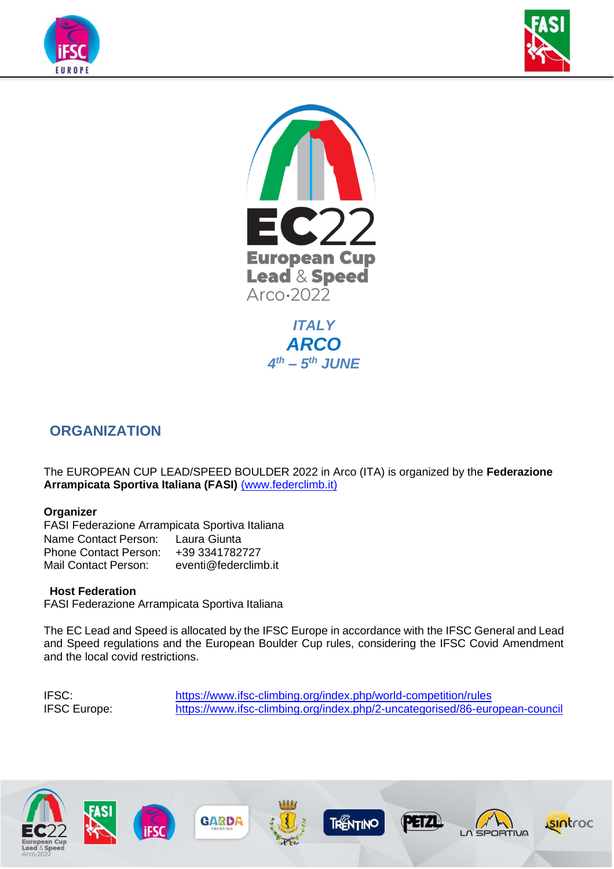





*ITALY ARCO 4 th – 5 th JUNE*

### **ORGANIZATION**

The EUROPEAN CUP LEAD/SPEED BOULDER 2022 in Arco (ITA) is organized by the **Federazione Arrampicata Sportiva Italiana (FASI)** (www.federclimb.it)

#### **Organizer**

FASI Federazione Arrampicata Sportiva Italiana Name Contact Person: Laura Giunta Phone Contact Person: +39 3341782727 Mail Contact Person: [eventi@federclimb.it](mailto:eventi@federclimb.it)

#### **Host Federation**

FASI Federazione Arrampicata Sportiva Italiana

The EC Lead and Speed is allocated by the IFSC Europe in accordance with the IFSC General and Lead and Speed regulations and the European Boulder Cup rules, considering the IFSC Covid Amendment and the local covid restrictions.

IFSC: https:[//www.ifsc-climbing.org/index.php/world-competition/rules](http://www.ifsc-climbing.org/index.php/world-competition/rules) IFSC Europe: https:[//www.ifsc-climbing.org/index.php/2-uncategorised/86-european-council](http://www.ifsc-climbing.org/index.php/2-uncategorised/86-european-council)













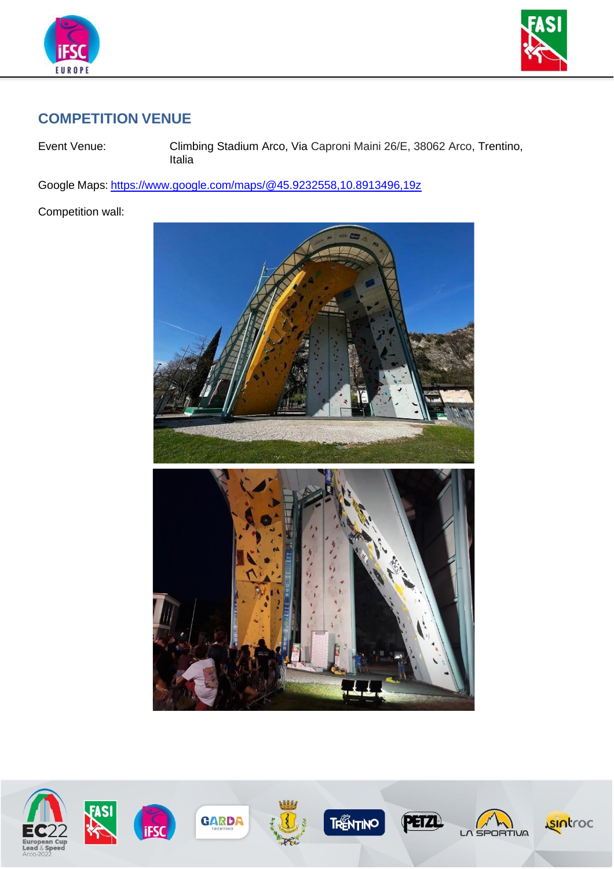



### **COMPETITION VENUE**

Event Venue: Climbing Stadium Arco, Via Caproni Maini 26/E, 38062 Arco, Trentino, Italia

Google Maps: [https://www.google.com/maps/@45.9232558,10.8913496,19z](https://www.google.com/maps/%4045.9232558%2C10.8913496%2C19z)

Competition wall:

















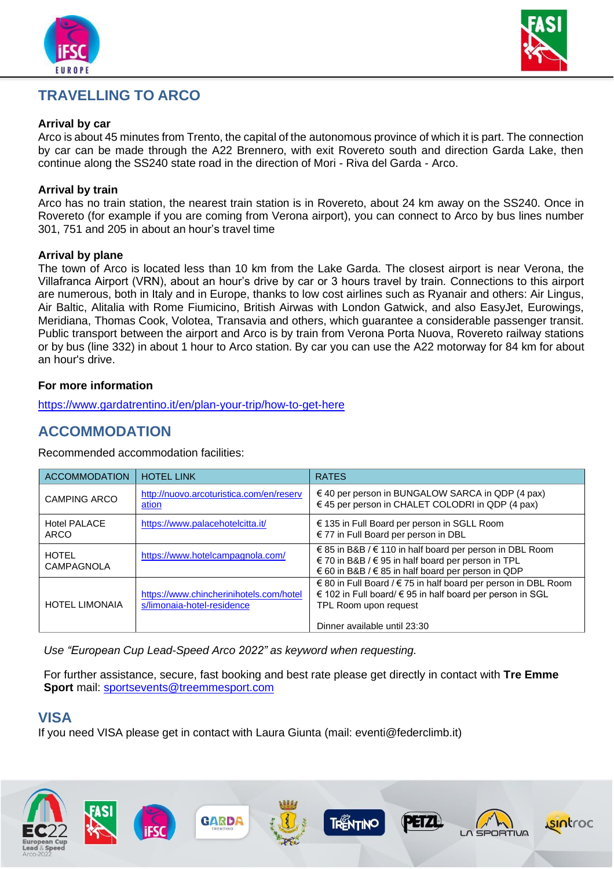

### **TRAVELLING TO ARCO**

#### **Arrival by car**

Arco is about 45 minutes from Trento, the capital of the autonomous province of which it is part. The connection by car can be made through the A22 Brennero, with exit Rovereto south and direction Garda Lake, then continue along the SS240 state road in the direction of Mori - Riva del Garda - Arco.

#### **Arrival by train**

Arco has no train station, the nearest train station is in Rovereto, about 24 km away on the SS240. Once in Rovereto (for example if you are coming from Verona airport), you can connect to Arco by bus lines number 301, 751 and 205 in about an hour's travel time

#### **Arrival by plane**

The town of Arco is located less than 10 km from the Lake Garda. The closest airport is near Verona, the Villafranca Airport (VRN), about an hour's drive by car or 3 hours travel by train. Connections to this airport are numerous, both in Italy and in Europe, thanks to low cost airlines such as Ryanair and others: Air Lingus, Air Baltic, Alitalia with Rome Fiumicino, British Airwas with London Gatwick, and also EasyJet, Eurowings, Meridiana, Thomas Cook, Volotea, Transavia and others, which guarantee a considerable passenger transit. Public transport between the airport and Arco is by train from Verona Porta Nuova, Rovereto railway stations or by bus (line 332) in about 1 hour to Arco station. By car you can use the A22 motorway for 84 km for about an hour's drive.

#### **For more information**

<https://www.gardatrentino.it/en/plan-your-trip/how-to-get-here>

### **ACCOMMODATION**

Recommended accommodation facilities:

| <b>ACCOMMODATION</b>              | <b>HOTEL LINK</b>                                                     | <b>RATES</b>                                                                                                                                                                         |
|-----------------------------------|-----------------------------------------------------------------------|--------------------------------------------------------------------------------------------------------------------------------------------------------------------------------------|
| CAMPING ARCO                      | http://nuovo.arcoturistica.com/en/reserv<br>ation                     | $\in$ 40 per person in BUNGALOW SARCA in QDP (4 pax)<br>€ 45 per person in CHALET COLODRI in QDP (4 pax)                                                                             |
| <b>Hotel PALACE</b><br>ARCO       | https://www.palacehotelcitta.it/                                      | € 135 in Full Board per person in SGLL Room<br>€ 77 in Full Board per person in DBL                                                                                                  |
| <b>HOTEL</b><br><b>CAMPAGNOLA</b> | https://www.hotelcampagnola.com/                                      | € 85 in B&B / € 110 in half board per person in DBL Room<br>€ 70 in B&B / € 95 in half board per person in TPL<br>€ 60 in B&B / € 85 in half board per person in QDP                 |
| <b>HOTEL LIMONAIA</b>             | https://www.chincherinihotels.com/hotel<br>s/limonaia-hotel-residence | € 80 in Full Board / € 75 in half board per person in DBL Room<br>€ 102 in Full board/ € 95 in half board per person in SGL<br>TPL Room upon request<br>Dinner available until 23:30 |

*Use "European Cup Lead-Speed Arco 2022" as keyword when requesting.*

For further assistance, secure, fast booking and best rate please get directly in contact with **Tre Emme Sport** mail: [sportsevents@treemmesport.com](mailto:sportsevents@treemmesport.com)

### **VISA**

If you need VISA please get in contact with Laura Giunta (mail: eventi@federclimb.it)



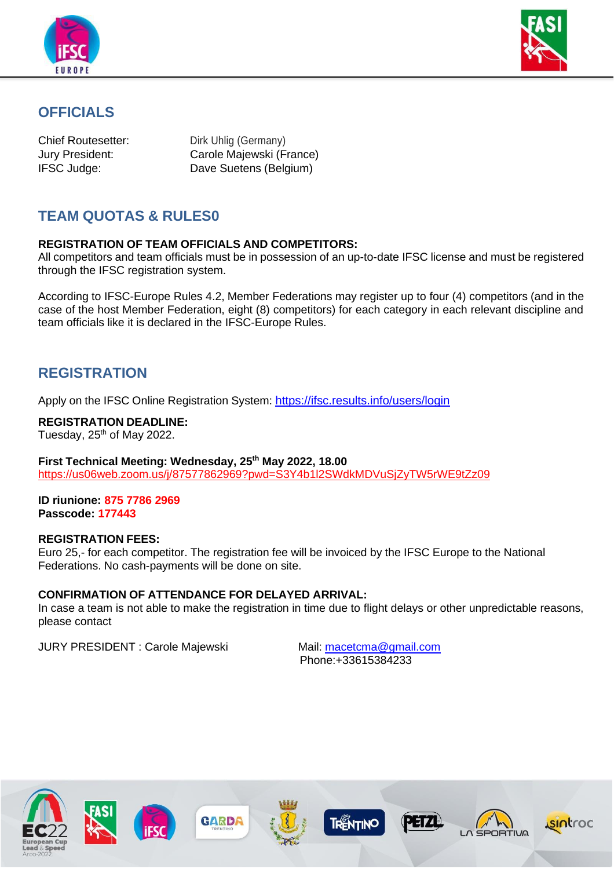



## **OFFICIALS**

Chief Routesetter: Dirk Uhlig (Germany) Jury President: Carole Majewski (France) IFSC Judge: Dave Suetens (Belgium)

# **TEAM QUOTAS & RULES0**

#### **REGISTRATION OF TEAM OFFICIALS AND COMPETITORS:**

All competitors and team officials must be in possession of an up-to-date IFSC license and must be registered through the IFSC registration system.

According to IFSC-Europe Rules 4.2, Member Federations may register up to four (4) competitors (and in the case of the host Member Federation, eight (8) competitors) for each category in each relevant discipline and team officials like it is declared in the IFSC-Europe Rules.

### **REGISTRATION**

Apply on the IFSC Online Registration System: https://ifsc.results.info/users/login

### **REGISTRATION DEADLINE:**

Tuesday,  $25<sup>th</sup>$  of May 2022.

**First Technical Meeting: Wednesday, 25th May 2022, 18.00** <https://us06web.zoom.us/j/87577862969?pwd=S3Y4b1l2SWdkMDVuSjZyTW5rWE9tZz09>

**ID riunione: 875 7786 2969 Passcode: 177443**

#### **REGISTRATION FEES:**

Euro 25,- for each competitor. The registration fee will be invoiced by the IFSC Europe to the National Federations. No cash-payments will be done on site.

#### **CONFIRMATION OF ATTENDANCE FOR DELAYED ARRIVAL:**

In case a team is not able to make the registration in time due to flight delays or other unpredictable reasons, please contact

JURY PRESIDENT : Carole Majewski Mail: [macetcma@gmail.com](mailto:macetcma@gmail.com)

Phone:+33615384233











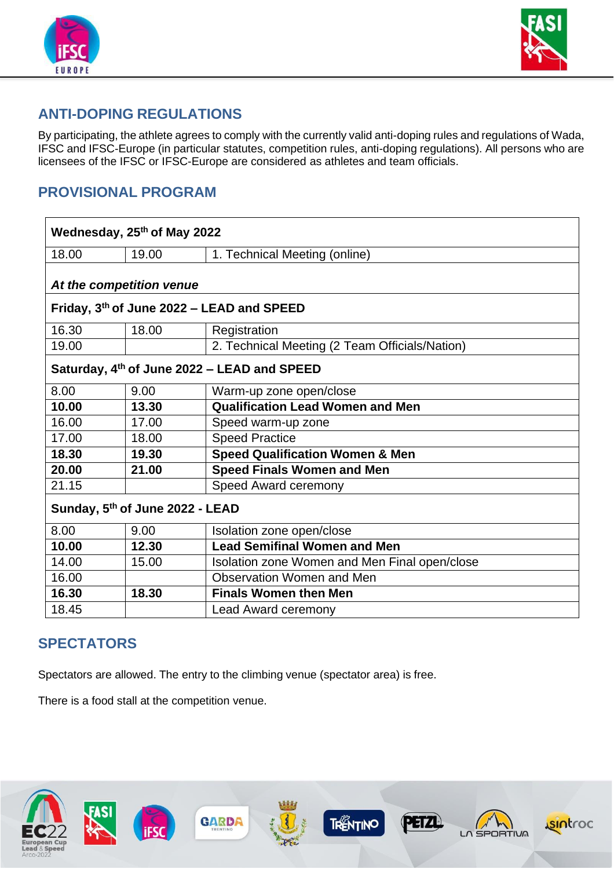



### **ANTI-DOPING REGULATIONS**

By participating, the athlete agrees to comply with the currently valid anti-doping rules and regulations of Wada, IFSC and IFSC-Europe (in particular statutes, competition rules, anti-doping regulations). All persons who are licensees of the IFSC or IFSC-Europe are considered as athletes and team officials.

## **PROVISIONAL PROGRAM**

| Wednesday, 25 <sup>th</sup> of May 2022     |       |                                                |  |
|---------------------------------------------|-------|------------------------------------------------|--|
| 18.00                                       | 19.00 | 1. Technical Meeting (online)                  |  |
| At the competition venue                    |       |                                                |  |
| Friday, 3th of June 2022 - LEAD and SPEED   |       |                                                |  |
| 16.30                                       | 18.00 | Registration                                   |  |
| 19.00                                       |       | 2. Technical Meeting (2 Team Officials/Nation) |  |
| Saturday, 4th of June 2022 - LEAD and SPEED |       |                                                |  |
| 8.00                                        | 9.00  | Warm-up zone open/close                        |  |
| 10.00                                       | 13.30 | <b>Qualification Lead Women and Men</b>        |  |
| 16.00                                       | 17.00 | Speed warm-up zone                             |  |
| 17.00                                       | 18.00 | <b>Speed Practice</b>                          |  |
| 18.30                                       | 19.30 | <b>Speed Qualification Women &amp; Men</b>     |  |
| 20.00                                       | 21.00 | <b>Speed Finals Women and Men</b>              |  |
| 21.15                                       |       | Speed Award ceremony                           |  |
| Sunday, 5th of June 2022 - LEAD             |       |                                                |  |
| 8.00                                        | 9.00  | Isolation zone open/close                      |  |
| 10.00                                       | 12.30 | <b>Lead Semifinal Women and Men</b>            |  |
| 14.00                                       | 15.00 | Isolation zone Women and Men Final open/close  |  |
| 16.00                                       |       | Observation Women and Men                      |  |
| 16.30                                       | 18.30 | <b>Finals Women then Men</b>                   |  |
| 18.45                                       |       | <b>Lead Award ceremony</b>                     |  |

### **SPECTATORS**

Spectators are allowed. The entry to the climbing venue (spectator area) is free.

There is a food stall at the competition venue.